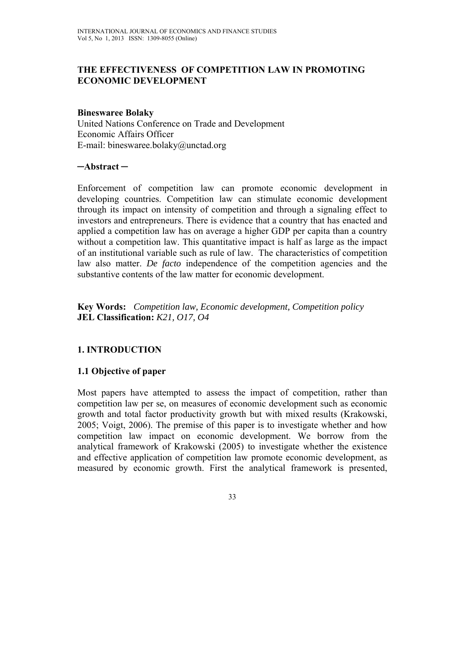## **THE EFFECTIVENESS OF COMPETITION LAW IN PROMOTING ECONOMIC DEVELOPMENT**

#### **Bineswaree Bolaky**

United Nations Conference on Trade and Development Economic Affairs Officer E-mail: bineswaree.bolaky@unctad.org

#### **─Abstract ─**

Enforcement of competition law can promote economic development in developing countries. Competition law can stimulate economic development through its impact on intensity of competition and through a signaling effect to investors and entrepreneurs. There is evidence that a country that has enacted and applied a competition law has on average a higher GDP per capita than a country without a competition law. This quantitative impact is half as large as the impact of an institutional variable such as rule of law. The characteristics of competition law also matter. *De facto* independence of the competition agencies and the substantive contents of the law matter for economic development.

**Key Words:** *Competition law, Economic development, Competition policy*  **JEL Classification:** *K21, O17, O4*

# **1. INTRODUCTION**

### **1.1 Objective of paper**

Most papers have attempted to assess the impact of competition, rather than competition law per se, on measures of economic development such as economic growth and total factor productivity growth but with mixed results (Krakowski, 2005; Voigt, 2006). The premise of this paper is to investigate whether and how competition law impact on economic development. We borrow from the analytical framework of Krakowski (2005) to investigate whether the existence and effective application of competition law promote economic development, as measured by economic growth. First the analytical framework is presented,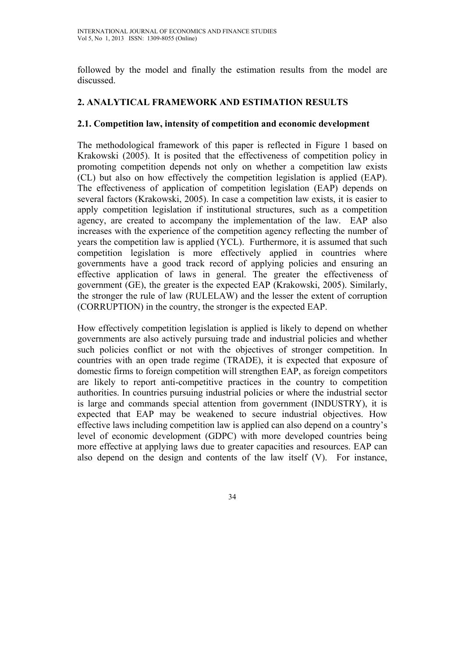followed by the model and finally the estimation results from the model are discussed.

## **2. ANALYTICAL FRAMEWORK AND ESTIMATION RESULTS**

### **2.1. Competition law, intensity of competition and economic development**

The methodological framework of this paper is reflected in Figure 1 based on Krakowski (2005). It is posited that the effectiveness of competition policy in promoting competition depends not only on whether a competition law exists (CL) but also on how effectively the competition legislation is applied (EAP). The effectiveness of application of competition legislation (EAP) depends on several factors (Krakowski, 2005). In case a competition law exists, it is easier to apply competition legislation if institutional structures, such as a competition agency, are created to accompany the implementation of the law. EAP also increases with the experience of the competition agency reflecting the number of years the competition law is applied (YCL). Furthermore, it is assumed that such competition legislation is more effectively applied in countries where governments have a good track record of applying policies and ensuring an effective application of laws in general. The greater the effectiveness of government (GE), the greater is the expected EAP (Krakowski, 2005). Similarly, the stronger the rule of law (RULELAW) and the lesser the extent of corruption (CORRUPTION) in the country, the stronger is the expected EAP.

How effectively competition legislation is applied is likely to depend on whether governments are also actively pursuing trade and industrial policies and whether such policies conflict or not with the objectives of stronger competition. In countries with an open trade regime (TRADE), it is expected that exposure of domestic firms to foreign competition will strengthen EAP, as foreign competitors are likely to report anti-competitive practices in the country to competition authorities. In countries pursuing industrial policies or where the industrial sector is large and commands special attention from government (INDUSTRY), it is expected that EAP may be weakened to secure industrial objectives. How effective laws including competition law is applied can also depend on a country's level of economic development (GDPC) with more developed countries being more effective at applying laws due to greater capacities and resources. EAP can also depend on the design and contents of the law itself (V). For instance,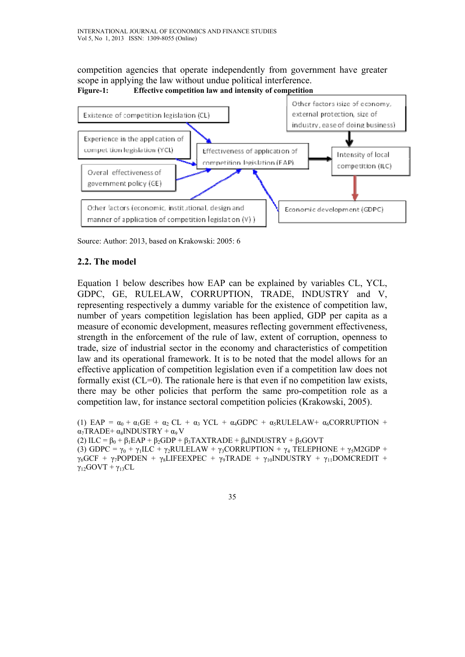competition agencies that operate independently from government have greater scope in applying the law without undue political interference. **Figure-1: Effective competition law and intensity of competition**



Source: Author: 2013, based on Krakowski: 2005: 6

## **2.2. The model**

Equation 1 below describes how EAP can be explained by variables CL, YCL, GDPC, GE, RULELAW, CORRUPTION, TRADE, INDUSTRY and V, representing respectively a dummy variable for the existence of competition law, number of years competition legislation has been applied, GDP per capita as a measure of economic development, measures reflecting government effectiveness, strength in the enforcement of the rule of law, extent of corruption, openness to trade, size of industrial sector in the economy and characteristics of competition law and its operational framework. It is to be noted that the model allows for an effective application of competition legislation even if a competition law does not formally exist  $(CL=0)$ . The rationale here is that even if no competition law exists, there may be other policies that perform the same pro-competition role as a competition law, for instance sectoral competition policies (Krakowski, 2005).

(1) EAP =  $\alpha_0 + \alpha_1$ GE +  $\alpha_2$  CL +  $\alpha_3$  YCL +  $\alpha_4$ GDPC +  $\alpha_5$ RULELAW+  $\alpha_6$ CORRUPTION +  $\alpha_7$ TRADE+  $\alpha_8$ INDUSTRY +  $\alpha_9$  V (2) ILC =  $\beta_0 + \beta_1 EAP + \beta_2 GDP + \beta_3 TAXTRADE + \beta_4 INDUSTRY + \beta_3 GOVT$ (3) GDPC =  $\gamma_0$  +  $\gamma_1 \text{ILC}$  +  $\gamma_2 \text{RULELAW}$  +  $\gamma_3 \text{CORRUPTION}$  +  $\gamma_4$  TELEPHONE +  $\gamma_5 \text{M2GDP}$  +  $\gamma_6$ GCF +  $\gamma_7$ POPDEN +  $\gamma_8$ LIFEEXPEC +  $\gamma_9$ TRADE +  $\gamma_{10}$ INDUSTRY +  $\gamma_{11}$ DOMCREDIT +  $\gamma_{12}$ GOVT +  $\gamma_{13}$ CL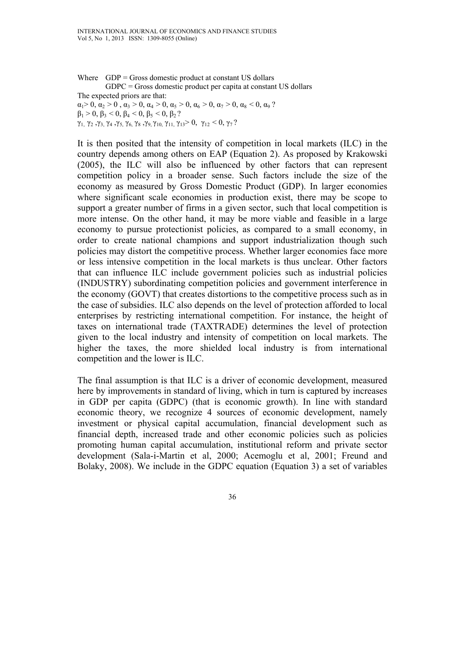Where  $GDP = Gross$  domestic product at constant US dollars GDPC = Gross domestic product per capita at constant US dollars The expected priors are that:  $\alpha_1 > 0$ ,  $\alpha_2 > 0$ ,  $\alpha_3 > 0$ ,  $\alpha_4 > 0$ ,  $\alpha_5 > 0$ ,  $\alpha_6 > 0$ ,  $\alpha_7 > 0$ ,  $\alpha_8 < 0$ ,  $\alpha_9$ ?  $β<sub>1</sub> > 0, β<sub>3</sub> < 0, β<sub>4</sub> < 0, β<sub>5</sub> < 0, β<sub>2</sub> ?$ γ1, γ2 ,γ3, γ4 ,γ5, γ6, γ8 ,γ9, γ10, γ11, γ13> 0, γ12 < 0, γ7 ?

It is then posited that the intensity of competition in local markets (ILC) in the country depends among others on EAP (Equation 2). As proposed by Krakowski (2005), the ILC will also be influenced by other factors that can represent competition policy in a broader sense. Such factors include the size of the economy as measured by Gross Domestic Product (GDP). In larger economies where significant scale economies in production exist, there may be scope to support a greater number of firms in a given sector, such that local competition is more intense. On the other hand, it may be more viable and feasible in a large economy to pursue protectionist policies, as compared to a small economy, in order to create national champions and support industrialization though such policies may distort the competitive process. Whether larger economies face more or less intensive competition in the local markets is thus unclear. Other factors that can influence ILC include government policies such as industrial policies (INDUSTRY) subordinating competition policies and government interference in the economy (GOVT) that creates distortions to the competitive process such as in the case of subsidies. ILC also depends on the level of protection afforded to local enterprises by restricting international competition. For instance, the height of taxes on international trade (TAXTRADE) determines the level of protection given to the local industry and intensity of competition on local markets. The higher the taxes, the more shielded local industry is from international competition and the lower is ILC.

The final assumption is that ILC is a driver of economic development, measured here by improvements in standard of living, which in turn is captured by increases in GDP per capita (GDPC) (that is economic growth). In line with standard economic theory, we recognize 4 sources of economic development, namely investment or physical capital accumulation, financial development such as financial depth, increased trade and other economic policies such as policies promoting human capital accumulation, institutional reform and private sector development (Sala-i-Martin et al, 2000; Acemoglu et al, 2001; Freund and Bolaky, 2008). We include in the GDPC equation (Equation 3) a set of variables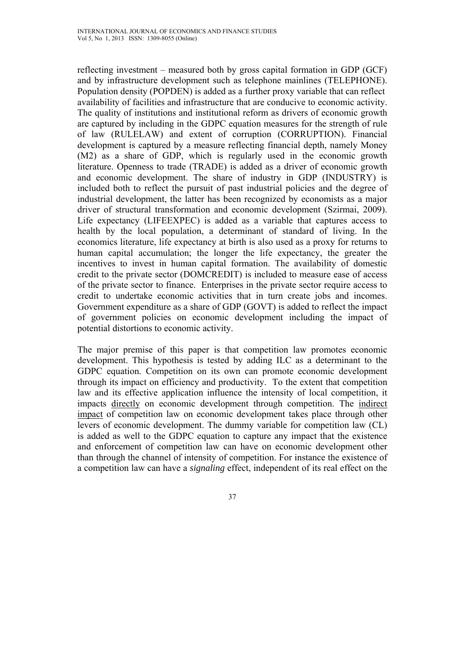reflecting investment – measured both by gross capital formation in GDP (GCF) and by infrastructure development such as telephone mainlines (TELEPHONE). Population density (POPDEN) is added as a further proxy variable that can reflect availability of facilities and infrastructure that are conducive to economic activity. The quality of institutions and institutional reform as drivers of economic growth are captured by including in the GDPC equation measures for the strength of rule of law (RULELAW) and extent of corruption (CORRUPTION). Financial development is captured by a measure reflecting financial depth, namely Money (M2) as a share of GDP, which is regularly used in the economic growth literature. Openness to trade (TRADE) is added as a driver of economic growth and economic development. The share of industry in GDP (INDUSTRY) is included both to reflect the pursuit of past industrial policies and the degree of industrial development, the latter has been recognized by economists as a major driver of structural transformation and economic development (Szirmai, 2009). Life expectancy (LIFEEXPEC) is added as a variable that captures access to health by the local population, a determinant of standard of living. In the economics literature, life expectancy at birth is also used as a proxy for returns to human capital accumulation; the longer the life expectancy, the greater the incentives to invest in human capital formation. The availability of domestic credit to the private sector (DOMCREDIT) is included to measure ease of access of the private sector to finance. Enterprises in the private sector require access to credit to undertake economic activities that in turn create jobs and incomes. Government expenditure as a share of GDP (GOVT) is added to reflect the impact of government policies on economic development including the impact of potential distortions to economic activity.

The major premise of this paper is that competition law promotes economic development. This hypothesis is tested by adding ILC as a determinant to the GDPC equation. Competition on its own can promote economic development through its impact on efficiency and productivity. To the extent that competition law and its effective application influence the intensity of local competition, it impacts directly on economic development through competition. The indirect impact of competition law on economic development takes place through other levers of economic development. The dummy variable for competition law (CL) is added as well to the GDPC equation to capture any impact that the existence and enforcement of competition law can have on economic development other than through the channel of intensity of competition. For instance the existence of a competition law can have a *signaling* effect, independent of its real effect on the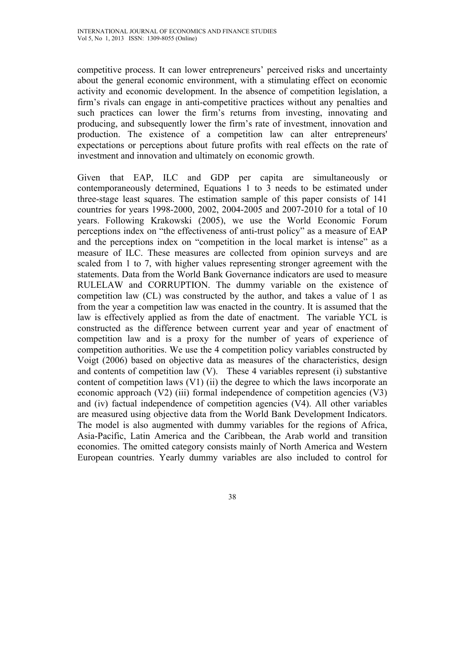competitive process. It can lower entrepreneurs' perceived risks and uncertainty about the general economic environment, with a stimulating effect on economic activity and economic development. In the absence of competition legislation, a firm's rivals can engage in anti-competitive practices without any penalties and such practices can lower the firm's returns from investing, innovating and producing, and subsequently lower the firm's rate of investment, innovation and production. The existence of a competition law can alter entrepreneurs' expectations or perceptions about future profits with real effects on the rate of investment and innovation and ultimately on economic growth.

Given that EAP, ILC and GDP per capita are simultaneously or contemporaneously determined, Equations 1 to 3 needs to be estimated under three-stage least squares. The estimation sample of this paper consists of 141 countries for years 1998-2000, 2002, 2004-2005 and 2007-2010 for a total of 10 years. Following Krakowski (2005), we use the World Economic Forum perceptions index on "the effectiveness of anti-trust policy" as a measure of EAP and the perceptions index on "competition in the local market is intense" as a measure of ILC. These measures are collected from opinion surveys and are scaled from 1 to 7, with higher values representing stronger agreement with the statements. Data from the World Bank Governance indicators are used to measure RULELAW and CORRUPTION. The dummy variable on the existence of competition law (CL) was constructed by the author, and takes a value of 1 as from the year a competition law was enacted in the country. It is assumed that the law is effectively applied as from the date of enactment. The variable YCL is constructed as the difference between current year and year of enactment of competition law and is a proxy for the number of years of experience of competition authorities. We use the 4 competition policy variables constructed by Voigt (2006) based on objective data as measures of the characteristics, design and contents of competition law (V). These 4 variables represent (i) substantive content of competition laws  $(V1)$  (ii) the degree to which the laws incorporate an economic approach (V2) (iii) formal independence of competition agencies (V3) and (iv) factual independence of competition agencies (V4). All other variables are measured using objective data from the World Bank Development Indicators. The model is also augmented with dummy variables for the regions of Africa, Asia-Pacific, Latin America and the Caribbean, the Arab world and transition economies. The omitted category consists mainly of North America and Western European countries. Yearly dummy variables are also included to control for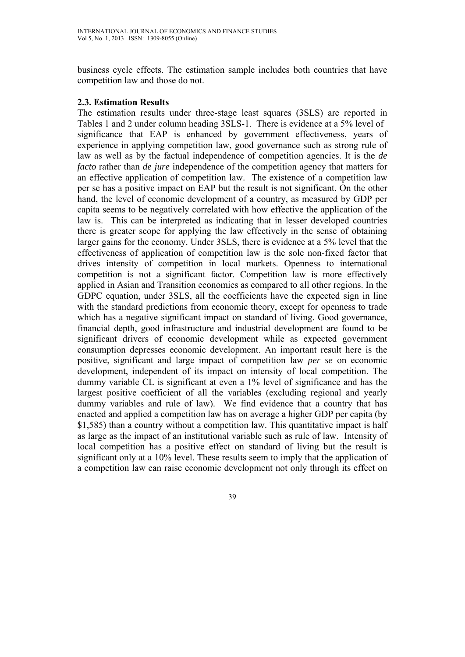business cycle effects. The estimation sample includes both countries that have competition law and those do not.

### **2.3. Estimation Results**

The estimation results under three-stage least squares (3SLS) are reported in Tables 1 and 2 under column heading 3SLS-1. There is evidence at a 5% level of significance that EAP is enhanced by government effectiveness, years of experience in applying competition law, good governance such as strong rule of law as well as by the factual independence of competition agencies. It is the *de facto* rather than *de jure* independence of the competition agency that matters for an effective application of competition law. The existence of a competition law per se has a positive impact on EAP but the result is not significant. On the other hand, the level of economic development of a country, as measured by GDP per capita seems to be negatively correlated with how effective the application of the law is. This can be interpreted as indicating that in lesser developed countries there is greater scope for applying the law effectively in the sense of obtaining larger gains for the economy. Under 3SLS, there is evidence at a 5% level that the effectiveness of application of competition law is the sole non-fixed factor that drives intensity of competition in local markets. Openness to international competition is not a significant factor. Competition law is more effectively applied in Asian and Transition economies as compared to all other regions. In the GDPC equation, under 3SLS, all the coefficients have the expected sign in line with the standard predictions from economic theory, except for openness to trade which has a negative significant impact on standard of living. Good governance, financial depth, good infrastructure and industrial development are found to be significant drivers of economic development while as expected government consumption depresses economic development. An important result here is the positive, significant and large impact of competition law *per se* on economic development, independent of its impact on intensity of local competition. The dummy variable CL is significant at even a 1% level of significance and has the largest positive coefficient of all the variables (excluding regional and yearly dummy variables and rule of law). We find evidence that a country that has enacted and applied a competition law has on average a higher GDP per capita (by \$1,585) than a country without a competition law. This quantitative impact is half as large as the impact of an institutional variable such as rule of law. Intensity of local competition has a positive effect on standard of living but the result is significant only at a 10% level. These results seem to imply that the application of a competition law can raise economic development not only through its effect on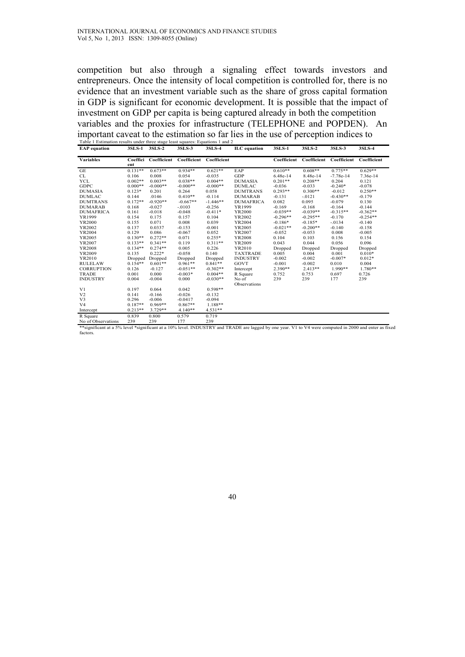competition but also through a signaling effect towards investors and entrepreneurs. Once the intensity of local competition is controlled for, there is no evidence that an investment variable such as the share of gross capital formation in GDP is significant for economic development. It is possible that the impact of investment on GDP per capita is being captured already in both the competition variables and the proxies for infrastructure (TELEPHONE and POPDEN). An important caveat to the estimation so far lies in the use of perception indices to

| <b>EAP</b> equation | 3SLS-1 3SLS-2 |                 | 3SLS-3                                       | 3SLS-4     | <b>ILC</b> equation | 3SLS-1     | 3SLS-2                                          | 3SLS-3      | 3SLS-4     |
|---------------------|---------------|-----------------|----------------------------------------------|------------|---------------------|------------|-------------------------------------------------|-------------|------------|
| <b>Variables</b>    | ent           |                 | Coeffici Coefficient Coefficient Coefficient |            |                     |            | Coefficient Coefficient Coefficient Coefficient |             |            |
| GE                  | $0.131**$     | $0.673**$       | $0.934**$                                    | $0.621**$  | EAP                 | $0.610**$  | $0.608**$                                       | $0.775**$   | $0.629**$  |
| CL                  | 0.106         | 0.008           | 0.054                                        | $-0.035$   | <b>GDP</b>          | 6.48e-14   | 8.48e-14                                        | $-7.78e-14$ | 7.36e-14   |
| <b>YCL</b>          | $0.002**$     | $0.003**$       | $0.038**$                                    | $0.004**$  | <b>DUMASIA</b>      | $0.201**$  | $0.208**$                                       | 0.204       | 0.121      |
| <b>GDPC</b>         | $0.000**$     | $-0.000**$      | $-0.000**$                                   | $-0.000**$ | <b>DUMLAC</b>       | $-0.036$   | $-0.033$                                        | $-0.240*$   | $-0.078$   |
| <b>DUMASIA</b>      | $0.123*$      | 0.201           | 0.264                                        | 0.058      | <b>DUMTRANS</b>     | $0.293**$  | $0.300**$                                       | $-0.012$    | $0.250**$  |
| <b>DUMLAC</b>       | 0.144         | 0146            | $0.410**$                                    | $-0.114$   | <b>DUMARAB</b>      | $-0.131$   | $-0121$                                         | $-0.430**$  | $-0.179$   |
| <b>DUMTRANS</b>     | $0.172**$     | $-0.920**$      | $-0.667**$                                   | $-1.446**$ | <b>DUMAFRICA</b>    | 0.082      | 0.095                                           | $-0.079$    | 0.130      |
| <b>DUMARAB</b>      | 0.168         | $-0.027$        | $-.0103$                                     | $-0.256$   | YR1999              | $-0.169$   | $-0.168$                                        | $-0.164$    | $-0.144$   |
| <b>DUMAFRICA</b>    | 0.161         | $-0.018$        | $-0.048$                                     | $-0.411*$  | YR2000              | $-0.039**$ | $-0.039**$                                      | $-0.315**$  | $-0.362**$ |
| YR1999              | 0.154         | 0.175           | 0.157                                        | 0.104      | YR2002              | $-0.296**$ | $-0.295**$                                      | $-0.170$    | $-0.254**$ |
| YR2000              | 0.155         | 0.071           | 0.008                                        | 0.039      | YR2004              | $-0.186*$  | $-0.185*$                                       | $-0.0134$   | $-0.140$   |
| YR2002              | 0.137         | 0.0337          | $-0.153$                                     | $-0.001$   | YR2005              | $-0.021**$ | $-0.200**$                                      | $-0.140$    | $-0.158$   |
| YR2004              | 0.129         | 0.086           | $-0.067$                                     | 0.052      | YR2007              | $-0.052$   | $-0.053$                                        | 0.008       | $-0.005$   |
| YR2005              | $0.130**$     | $0.272**$       | 0.071                                        | $0.255*$   | <b>YR2008</b>       | 0.104      | 0.103                                           | 0.156       | 0.154      |
| YR2007              | $0.133**$     | $0.341**$       | 0.119                                        | $0.311**$  | YR2009              | 0.043      | 0.044                                           | 0.056       | 0.096      |
| <b>YR2008</b>       | $0.134**$     | $0.274**$       | 0.005                                        | 0.226      | YR2010              | Dropped    | Dropped                                         | Dropped     | Dropped    |
| YR2009              | 0.135         | $0.222*$        | $-0.058$                                     | 0.140      | <b>TAXTRADE</b>     | 0.005      | 0.004                                           | 0.001       | $0.010*$   |
| YR2010              |               | Dropped Dropped | Dropped                                      | Dropped    | <b>INDUSTRY</b>     | $-0.002$   | $-0.002$                                        | $-0.007*$   | $0.012*$   |
| <b>RULELAW</b>      | $0.154**$     | $0.601**$       | $0.961**$                                    | $0.841**$  | <b>GOVT</b>         | $-0.001$   | $-0.002$                                        | 0.010       | 0.004      |
| <b>CORRUPTION</b>   | 0.126         | $-0.127$        | $-0.051**$                                   | $-0.302**$ | Intercept           | $2.390**$  | $2.413**$                                       | $1990**$    | $1.780**$  |
| <b>TRADE</b>        | 0.001         | 0.000           | $-0.003*$                                    | $0.004**$  | R Square            | 0.752      | 0.753                                           | 0.697       | 0.726      |
| <b>INDUSTRY</b>     | 0.004         | $-0.004$        | 0.000                                        | $-0.030**$ | No of               | 239        | 239                                             | 177         | 239        |
|                     |               |                 |                                              |            | Observations        |            |                                                 |             |            |
| V <sub>1</sub>      | 0.197         | 0.064           | 0.042                                        | $0.598**$  |                     |            |                                                 |             |            |
| V <sub>2</sub>      | 0.141         | $-0.166$        | $-0.026$                                     | $-0.132$   |                     |            |                                                 |             |            |
| V <sub>3</sub>      | 0.296         | $-0.006$        | $-0.0417$                                    | $-0.094$   |                     |            |                                                 |             |            |
| V <sub>4</sub>      | $0.187**$     | $0.969**$       | $0.867**$                                    | $1.188**$  |                     |            |                                                 |             |            |
| Intercept           | $0.213**$     | $3.729**$       | $4.140**$                                    | $4.531**$  |                     |            |                                                 |             |            |
| R Square            | 0.839         | 0.800           | 0.579                                        | 0.719      |                     |            |                                                 |             |            |
| No of Observations  | 239           | 239             | 177                                          | 239        |                     |            |                                                 |             |            |

ant at a 5% level \*significant at a 10% level. INDUSTRY and TRADE are lagged by one year. V1 to V4 were computed in 2000 and enter as fixed factors.

40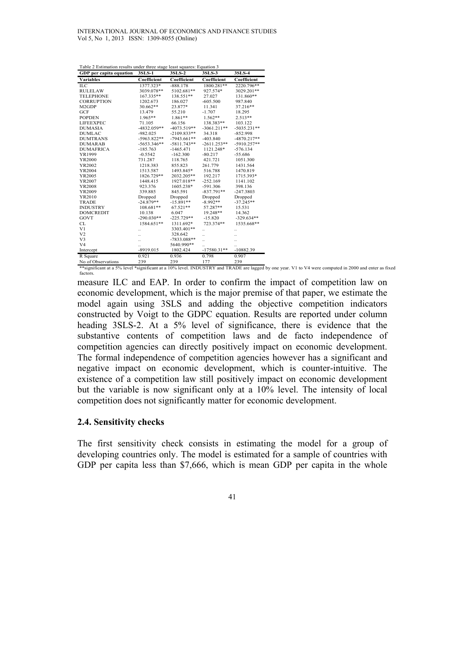| Table 2 Estimation results under three stage least squares: Equation 3 |               |               |               |               |  |  |  |
|------------------------------------------------------------------------|---------------|---------------|---------------|---------------|--|--|--|
| GDP per capita equation                                                | 3SLS-1        | 3SLS-2        | 3SLS-3        | 3SLS-4        |  |  |  |
| <b>Variables</b>                                                       | Coefficient   | Coefficient   | Coefficient   | Coefficient   |  |  |  |
| ILC                                                                    | 1377.323*     | $-888.178$    | 1800.281**    | 2220.796**    |  |  |  |
| <b>RULELAW</b>                                                         | 3039.078**    | 5102.681**    | 927.574*      | 3029.201**    |  |  |  |
| <b>TELEPHONE</b>                                                       | 167.335**     | 138.551**     | 27.027        | 131.860**     |  |  |  |
| <b>CORRUPTION</b>                                                      | 1202.673      | 186.027       | $-605.500$    | 987.840       |  |  |  |
| M2GDP                                                                  | 30.662**      | 23.877*       | 11.341        | 37.216**      |  |  |  |
| GCF                                                                    | 13.479        | 55.210        | $-1.707$      | 18.295        |  |  |  |
| <b>POPDEN</b>                                                          | 1.965**       | 1.861**       | $1.562**$     | $2.513**$     |  |  |  |
| <b>LIFEEXPEC</b>                                                       | 71.105        | 66.156        | 138.383**     | 103.122       |  |  |  |
| <b>DUMASIA</b>                                                         | $-4832.059**$ | $-4073.519**$ | $-3061.211**$ | $-5035.231**$ |  |  |  |
| <b>DUMLAC</b>                                                          | $-982.025$    | $-2109.833**$ | 34.318        | $-852.998$    |  |  |  |
| <b>DUMTRANS</b>                                                        | $-5963.822**$ | $-7943.661**$ | $-403.840$    | $-4870.217**$ |  |  |  |
| <b>DUMARAB</b>                                                         | $-5653.346**$ | $-5811.743**$ | $-2611.253**$ | $-5910.257**$ |  |  |  |
| <b>DUMAFRICA</b>                                                       | $-185.763$    | $-1465.471$   | 1121.248*     | $-576.134$    |  |  |  |
| YR1999                                                                 | $-0.5542$     | $-162.300$    | $-80.217$     | $-55.686$     |  |  |  |
| YR2000                                                                 | 731.287       | 118.765       | 421.721       | 1051.300      |  |  |  |
| YR2002                                                                 | 1218.383      | 855.823       | 261.779       | 1431.564      |  |  |  |
| YR2004                                                                 | 1513.587      | 1493.845*     | 516.788       | 1470.819      |  |  |  |
| YR2005                                                                 | 1826.729**    | 2032.205**    | 192.217       | 1715.393*     |  |  |  |
| YR2007                                                                 | 1448.415      | 1927.018**    | $-252.169$    | 1141.102      |  |  |  |
| YR2008                                                                 | 923.376       | 1605.238*     | -591.306      | 398.136       |  |  |  |
| YR2009                                                                 | 339.885       | 845.591       | $-837.791**$  | $-247.3803$   |  |  |  |
| YR2010                                                                 | Dropped       | Dropped       | Dropped       | Dropped       |  |  |  |
| <b>TRADE</b>                                                           | $-24.879**$   | $-15.891**$   | $-8.992**$    | $-37.245**$   |  |  |  |
| <b>INDUSTRY</b>                                                        | 108.681**     | 67.521**      | 57.287**      | 15.531        |  |  |  |
| <b>DOMCREDIT</b>                                                       | 10.138        | 6.047         | 19.248**      | 14.362        |  |  |  |
| GOVT                                                                   | $-290.030**$  | $-225.729**$  | $-15.820$     | $-329.634**$  |  |  |  |
| CL                                                                     | 1584.651**    | 1311.692*     | 723.374**     | 1535.668**    |  |  |  |
| V <sub>1</sub>                                                         |               | 3303.401**    |               |               |  |  |  |
| V <sub>2</sub>                                                         |               | 328.642       |               |               |  |  |  |
| V3                                                                     |               | $-7833.088**$ |               |               |  |  |  |
| V <sub>4</sub>                                                         |               | 5640.990**    |               |               |  |  |  |
| Intercept                                                              | $-8919.015$   | 1802.424      | $-17580.31**$ | $-10882.39$   |  |  |  |
| R Square                                                               | 0.921         | 0.936         | 0.798         | 0.907         |  |  |  |
| No of Observations                                                     | 239           | 239           | 177           | 239           |  |  |  |

\*\*significant at a 5% level \*significant at a 10% level. INDUSTRY and TRADE are lagged by one year. V1 to V4 were computed in 2000 and enter as fixed factors

measure ILC and EAP. In order to confirm the impact of competition law on economic development, which is the major premise of that paper, we estimate the model again using 3SLS and adding the objective competition indicators constructed by Voigt to the GDPC equation. Results are reported under column heading 3SLS-2. At a 5% level of significance, there is evidence that the substantive contents of competition laws and de facto independence of competition agencies can directly positively impact on economic development. The formal independence of competition agencies however has a significant and negative impact on economic development, which is counter-intuitive. The existence of a competition law still positively impact on economic development but the variable is now significant only at a 10% level. The intensity of local competition does not significantly matter for economic development.

### **2.4. Sensitivity checks**

The first sensitivity check consists in estimating the model for a group of developing countries only. The model is estimated for a sample of countries with GDP per capita less than \$7,666, which is mean GDP per capita in the whole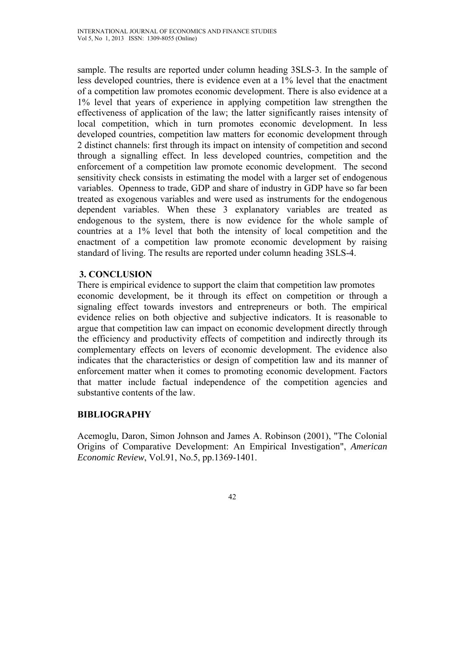sample. The results are reported under column heading 3SLS-3. In the sample of less developed countries, there is evidence even at a 1% level that the enactment of a competition law promotes economic development. There is also evidence at a 1% level that years of experience in applying competition law strengthen the effectiveness of application of the law; the latter significantly raises intensity of local competition, which in turn promotes economic development. In less developed countries, competition law matters for economic development through 2 distinct channels: first through its impact on intensity of competition and second through a signalling effect. In less developed countries, competition and the enforcement of a competition law promote economic development. The second sensitivity check consists in estimating the model with a larger set of endogenous variables. Openness to trade, GDP and share of industry in GDP have so far been treated as exogenous variables and were used as instruments for the endogenous dependent variables. When these 3 explanatory variables are treated as endogenous to the system, there is now evidence for the whole sample of countries at a 1% level that both the intensity of local competition and the enactment of a competition law promote economic development by raising standard of living. The results are reported under column heading 3SLS-4.

# **3. CONCLUSION**

There is empirical evidence to support the claim that competition law promotes economic development, be it through its effect on competition or through a signaling effect towards investors and entrepreneurs or both. The empirical evidence relies on both objective and subjective indicators. It is reasonable to argue that competition law can impact on economic development directly through the efficiency and productivity effects of competition and indirectly through its complementary effects on levers of economic development. The evidence also indicates that the characteristics or design of competition law and its manner of enforcement matter when it comes to promoting economic development. Factors that matter include factual independence of the competition agencies and substantive contents of the law.

### **BIBLIOGRAPHY**

Acemoglu, Daron, Simon Johnson and James A. Robinson (2001), "The Colonial Origins of Comparative Development: An Empirical Investigation", *American Economic Review*, Vol.91, No.5, pp.1369-1401.